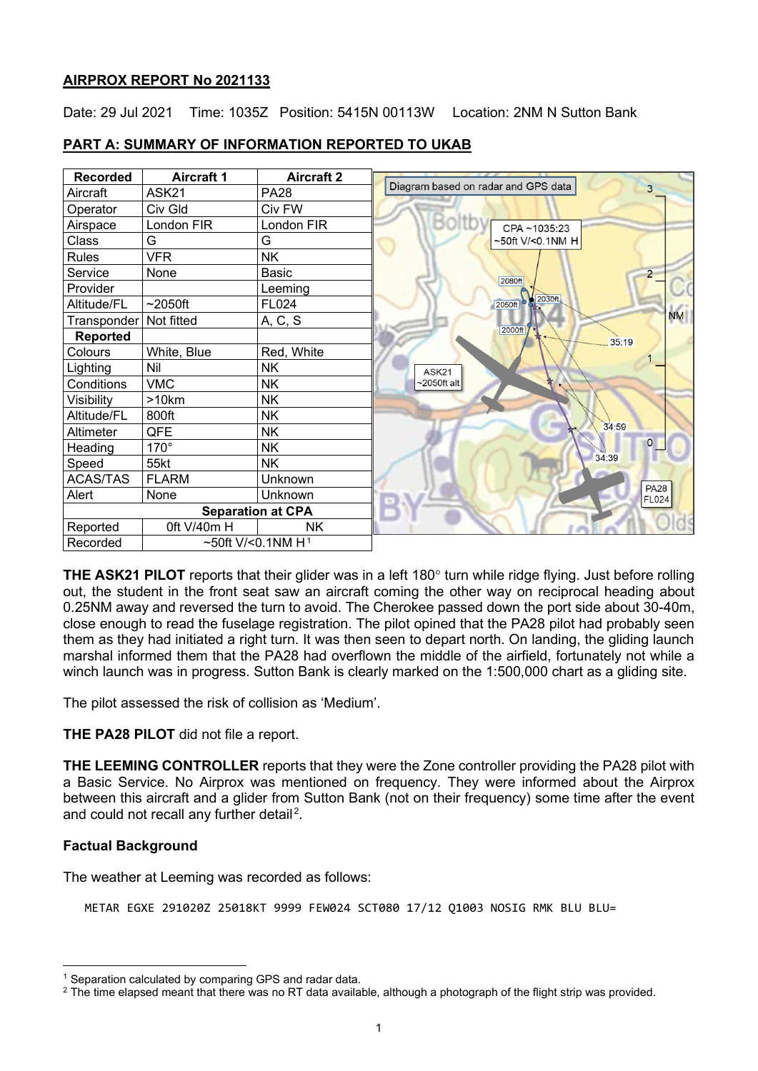# **AIRPROX REPORT No 2021133**

Date: 29 Jul 2021 Time: 1035Z Position: 5415N 00113W Location: 2NM N Sutton Bank

| <b>Recorded</b> | <b>Aircraft 1</b>    | <b>Aircraft 2</b>        |                                          |
|-----------------|----------------------|--------------------------|------------------------------------------|
| Aircraft        | ASK21                | <b>PA28</b>              | Diagram based on radar and GPS data<br>3 |
| Operator        | Civ Gld              | Civ FW                   |                                          |
| Airspace        | London FIR           | London FIR               | Boltb<br>CPA~1035:23                     |
| Class           | G                    | G                        | ~50ft V/<0.1NM H                         |
| <b>Rules</b>    | <b>VFR</b>           | <b>NK</b>                |                                          |
| Service         | None                 | Basic                    | $\overline{2}$                           |
| Provider        |                      | Leeming                  | 2080ft                                   |
| Altitude/FL     | $\sim$ 2050ft        | FL024                    | 2050ft b 2030ft                          |
| Transponder     | Not fitted           | A, C, S                  | <b>NM</b>                                |
| <b>Reported</b> |                      |                          | 2000ft<br>35:19                          |
| Colours         | White, Blue          | Red, White               |                                          |
| Lighting        | Nil                  | <b>NK</b>                | ASK21                                    |
| Conditions      | <b>VMC</b>           | <b>NK</b>                | $-2050$ ft alt                           |
| Visibility      | >10km                | <b>NK</b>                |                                          |
| Altitude/FL     | 800ft                | <b>NK</b>                |                                          |
| Altimeter       | QFE                  | <b>NK</b>                | 34:59                                    |
| Heading         | $170^\circ$          | <b>NK</b>                | $\overline{0}$                           |
| Speed           | 55kt                 | <b>NK</b>                | 34:39                                    |
| <b>ACAS/TAS</b> | <b>FLARM</b>         | Unknown                  |                                          |
| Alert           | None                 | Unknown                  | <b>PA28</b><br><b>FL024</b>              |
|                 |                      | <b>Separation at CPA</b> |                                          |
| Reported        | 0ft V/40m H          | NΚ                       |                                          |
| Recorded        | ~50ft V/<0.1NM $H^1$ |                          |                                          |

# **PART A: SUMMARY OF INFORMATION REPORTED TO UKAB**

**THE ASK21 PILOT** reports that their glider was in a left 180° turn while ridge flying. Just before rolling out, the student in the front seat saw an aircraft coming the other way on reciprocal heading about 0.25NM away and reversed the turn to avoid. The Cherokee passed down the port side about 30-40m, close enough to read the fuselage registration. The pilot opined that the PA28 pilot had probably seen them as they had initiated a right turn. It was then seen to depart north. On landing, the gliding launch marshal informed them that the PA28 had overflown the middle of the airfield, fortunately not while a winch launch was in progress. Sutton Bank is clearly marked on the 1:500,000 chart as a gliding site.

The pilot assessed the risk of collision as 'Medium'.

### **THE PA28 PILOT** did not file a report.

**THE LEEMING CONTROLLER** reports that they were the Zone controller providing the PA28 pilot with a Basic Service. No Airprox was mentioned on frequency. They were informed about the Airprox between this aircraft and a glider from Sutton Bank (not on their frequency) some time after the event and could not recall any further detail<sup>[2](#page-0-1)</sup>.

### **Factual Background**

The weather at Leeming was recorded as follows:

METAR EGXE 291020Z 25018KT 9999 FEW024 SCT080 17/12 Q1003 NOSIG RMK BLU BLU=

<span id="page-0-0"></span><sup>&</sup>lt;sup>1</sup> Separation calculated by comparing GPS and radar data.

<span id="page-0-1"></span> $2$  The time elapsed meant that there was no RT data available, although a photograph of the flight strip was provided.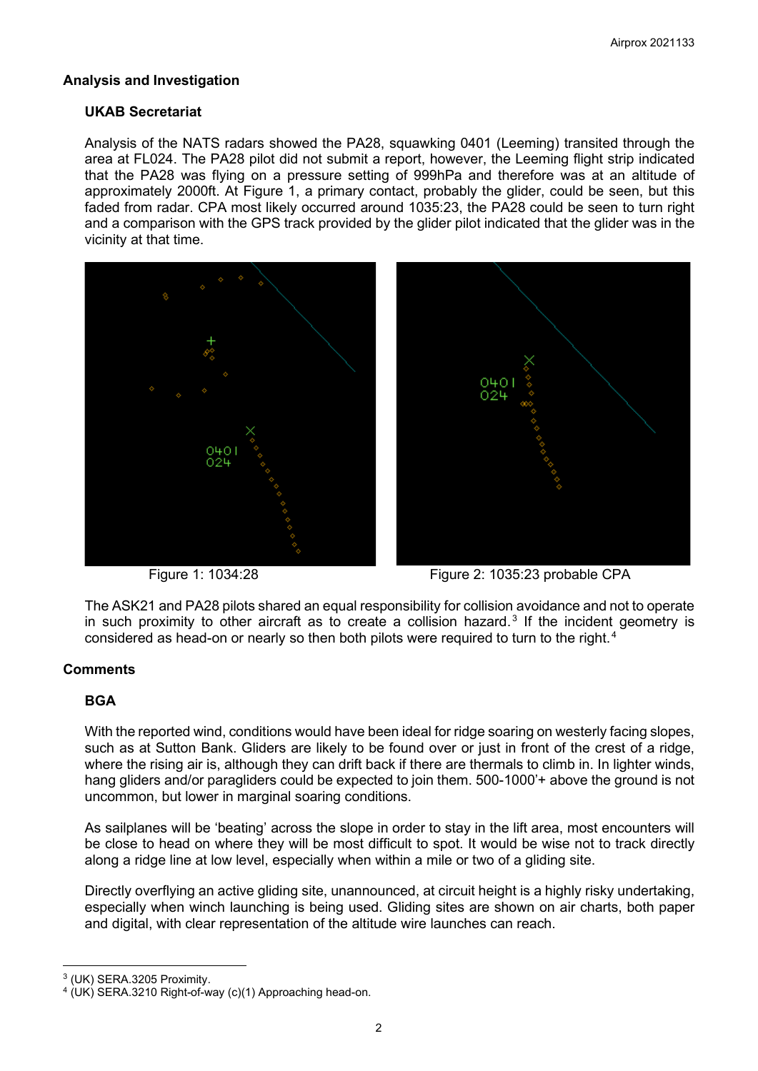# **Analysis and Investigation**

### **UKAB Secretariat**

Analysis of the NATS radars showed the PA28, squawking 0401 (Leeming) transited through the area at FL024. The PA28 pilot did not submit a report, however, the Leeming flight strip indicated that the PA28 was flying on a pressure setting of 999hPa and therefore was at an altitude of approximately 2000ft. At Figure 1, a primary contact, probably the glider, could be seen, but this faded from radar. CPA most likely occurred around 1035:23, the PA28 could be seen to turn right and a comparison with the GPS track provided by the glider pilot indicated that the glider was in the vicinity at that time.





Figure 1: 1034:28 Figure 2: 1035:23 probable CPA

The ASK21 and PA28 pilots shared an equal responsibility for collision avoidance and not to operate in such proximity to other aircraft as to create a collision hazard.<sup>[3](#page-1-0)</sup> If the incident geometry is considered as head-on or nearly so then both pilots were required to turn to the right. [4](#page-1-1)

### **Comments**

### **BGA**

With the reported wind, conditions would have been ideal for ridge soaring on westerly facing slopes, such as at Sutton Bank. Gliders are likely to be found over or just in front of the crest of a ridge, where the rising air is, although they can drift back if there are thermals to climb in. In lighter winds, hang gliders and/or paragliders could be expected to join them. 500-1000'+ above the ground is not uncommon, but lower in marginal soaring conditions.

As sailplanes will be 'beating' across the slope in order to stay in the lift area, most encounters will be close to head on where they will be most difficult to spot. It would be wise not to track directly along a ridge line at low level, especially when within a mile or two of a gliding site.

Directly overflying an active gliding site, unannounced, at circuit height is a highly risky undertaking, especially when winch launching is being used. Gliding sites are shown on air charts, both paper and digital, with clear representation of the altitude wire launches can reach.

<span id="page-1-0"></span><sup>3</sup> (UK) SERA.3205 Proximity.

<span id="page-1-1"></span> $4$  (UK) SERA.3210 Right-of-way (c)(1) Approaching head-on.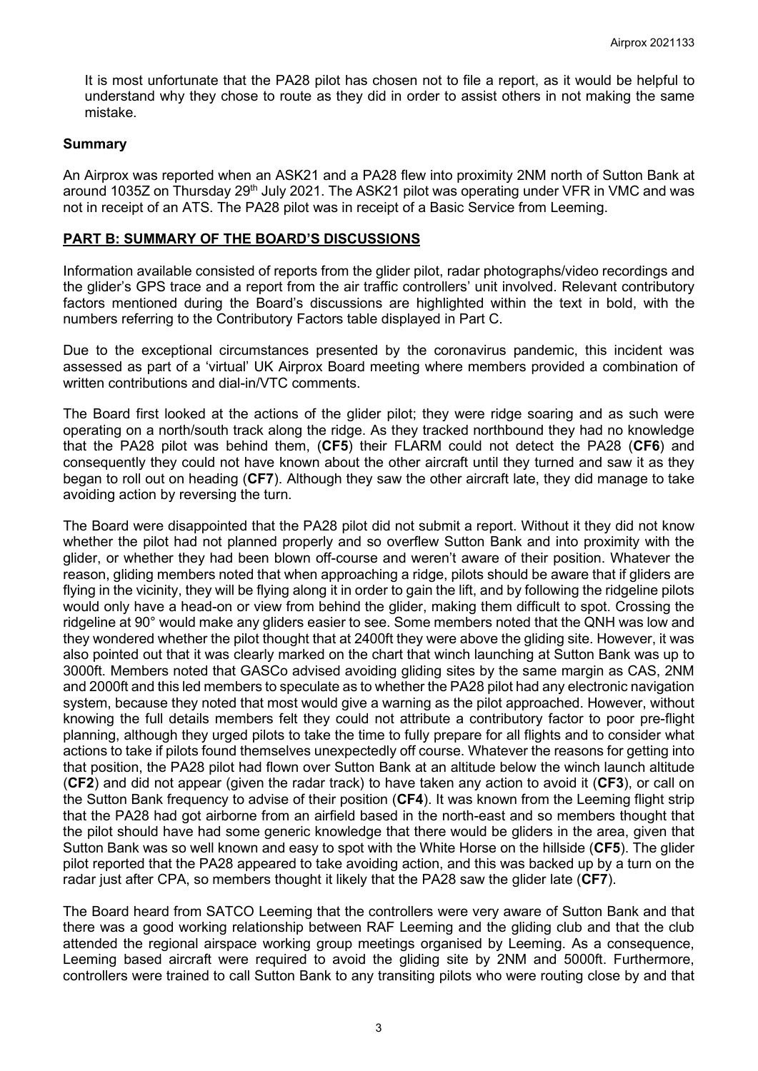It is most unfortunate that the PA28 pilot has chosen not to file a report, as it would be helpful to understand why they chose to route as they did in order to assist others in not making the same mistake.

#### **Summary**

An Airprox was reported when an ASK21 and a PA28 flew into proximity 2NM north of Sutton Bank at around 1035Z on Thursday 29<sup>th</sup> July 2021. The ASK21 pilot was operating under VFR in VMC and was not in receipt of an ATS. The PA28 pilot was in receipt of a Basic Service from Leeming.

#### **PART B: SUMMARY OF THE BOARD'S DISCUSSIONS**

Information available consisted of reports from the glider pilot, radar photographs/video recordings and the glider's GPS trace and a report from the air traffic controllers' unit involved. Relevant contributory factors mentioned during the Board's discussions are highlighted within the text in bold, with the numbers referring to the Contributory Factors table displayed in Part C.

Due to the exceptional circumstances presented by the coronavirus pandemic, this incident was assessed as part of a 'virtual' UK Airprox Board meeting where members provided a combination of written contributions and dial-in/VTC comments.

The Board first looked at the actions of the glider pilot; they were ridge soaring and as such were operating on a north/south track along the ridge. As they tracked northbound they had no knowledge that the PA28 pilot was behind them, (**CF5**) their FLARM could not detect the PA28 (**CF6**) and consequently they could not have known about the other aircraft until they turned and saw it as they began to roll out on heading (**CF7**). Although they saw the other aircraft late, they did manage to take avoiding action by reversing the turn.

The Board were disappointed that the PA28 pilot did not submit a report. Without it they did not know whether the pilot had not planned properly and so overflew Sutton Bank and into proximity with the glider, or whether they had been blown off-course and weren't aware of their position. Whatever the reason, gliding members noted that when approaching a ridge, pilots should be aware that if gliders are flying in the vicinity, they will be flying along it in order to gain the lift, and by following the ridgeline pilots would only have a head-on or view from behind the glider, making them difficult to spot. Crossing the ridgeline at 90° would make any gliders easier to see. Some members noted that the QNH was low and they wondered whether the pilot thought that at 2400ft they were above the gliding site. However, it was also pointed out that it was clearly marked on the chart that winch launching at Sutton Bank was up to 3000ft. Members noted that GASCo advised avoiding gliding sites by the same margin as CAS, 2NM and 2000ft and this led members to speculate as to whether the PA28 pilot had any electronic navigation system, because they noted that most would give a warning as the pilot approached. However, without knowing the full details members felt they could not attribute a contributory factor to poor pre-flight planning, although they urged pilots to take the time to fully prepare for all flights and to consider what actions to take if pilots found themselves unexpectedly off course. Whatever the reasons for getting into that position, the PA28 pilot had flown over Sutton Bank at an altitude below the winch launch altitude (**CF2**) and did not appear (given the radar track) to have taken any action to avoid it (**CF3**), or call on the Sutton Bank frequency to advise of their position (**CF4**). It was known from the Leeming flight strip that the PA28 had got airborne from an airfield based in the north-east and so members thought that the pilot should have had some generic knowledge that there would be gliders in the area, given that Sutton Bank was so well known and easy to spot with the White Horse on the hillside (**CF5**). The glider pilot reported that the PA28 appeared to take avoiding action, and this was backed up by a turn on the radar just after CPA, so members thought it likely that the PA28 saw the glider late (**CF7**).

The Board heard from SATCO Leeming that the controllers were very aware of Sutton Bank and that there was a good working relationship between RAF Leeming and the gliding club and that the club attended the regional airspace working group meetings organised by Leeming. As a consequence, Leeming based aircraft were required to avoid the gliding site by 2NM and 5000ft. Furthermore, controllers were trained to call Sutton Bank to any transiting pilots who were routing close by and that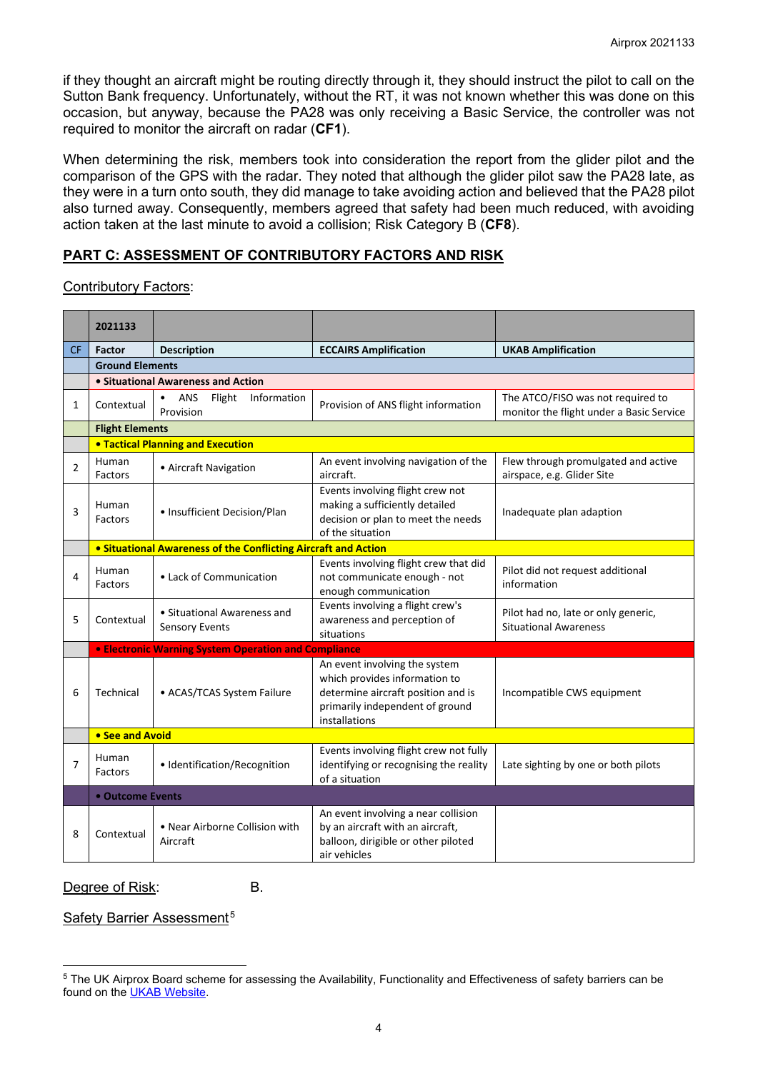if they thought an aircraft might be routing directly through it, they should instruct the pilot to call on the Sutton Bank frequency. Unfortunately, without the RT, it was not known whether this was done on this occasion, but anyway, because the PA28 was only receiving a Basic Service, the controller was not required to monitor the aircraft on radar (**CF1**).

When determining the risk, members took into consideration the report from the glider pilot and the comparison of the GPS with the radar. They noted that although the glider pilot saw the PA28 late, as they were in a turn onto south, they did manage to take avoiding action and believed that the PA28 pilot also turned away. Consequently, members agreed that safety had been much reduced, with avoiding action taken at the last minute to avoid a collision; Risk Category B (**CF8**).

# **PART C: ASSESSMENT OF CONTRIBUTORY FACTORS AND RISK**

#### Contributory Factors:

|              | 2021133                                                        |                                                      |                                                                                                                                                          |                                                                               |  |  |  |  |
|--------------|----------------------------------------------------------------|------------------------------------------------------|----------------------------------------------------------------------------------------------------------------------------------------------------------|-------------------------------------------------------------------------------|--|--|--|--|
| CF           | Factor                                                         | <b>Description</b>                                   | <b>ECCAIRS Amplification</b>                                                                                                                             | <b>UKAB Amplification</b>                                                     |  |  |  |  |
|              | <b>Ground Elements</b>                                         |                                                      |                                                                                                                                                          |                                                                               |  |  |  |  |
|              | • Situational Awareness and Action                             |                                                      |                                                                                                                                                          |                                                                               |  |  |  |  |
| $\mathbf{1}$ | Contextual                                                     | ANS<br>Flight<br>Information<br>Provision            | Provision of ANS flight information                                                                                                                      | The ATCO/FISO was not required to<br>monitor the flight under a Basic Service |  |  |  |  |
|              | <b>Flight Elements</b>                                         |                                                      |                                                                                                                                                          |                                                                               |  |  |  |  |
|              |                                                                | <b>.</b> Tactical Planning and Execution             |                                                                                                                                                          |                                                                               |  |  |  |  |
| 2            | Human<br>Factors                                               | • Aircraft Navigation                                | An event involving navigation of the<br>aircraft.                                                                                                        | Flew through promulgated and active<br>airspace, e.g. Glider Site             |  |  |  |  |
| 3            | Human<br>Factors                                               | • Insufficient Decision/Plan                         | Events involving flight crew not<br>making a sufficiently detailed<br>decision or plan to meet the needs<br>of the situation                             | Inadequate plan adaption                                                      |  |  |  |  |
|              | • Situational Awareness of the Conflicting Aircraft and Action |                                                      |                                                                                                                                                          |                                                                               |  |  |  |  |
| 4            | Human<br>Factors                                               | • Lack of Communication                              | Events involving flight crew that did<br>not communicate enough - not<br>enough communication                                                            | Pilot did not request additional<br>information                               |  |  |  |  |
| 5            | Contextual                                                     | • Situational Awareness and<br><b>Sensory Events</b> | Events involving a flight crew's<br>awareness and perception of<br>situations                                                                            | Pilot had no, late or only generic,<br><b>Situational Awareness</b>           |  |  |  |  |
|              | <b>• Electronic Warning System Operation and Compliance</b>    |                                                      |                                                                                                                                                          |                                                                               |  |  |  |  |
| 6            | Technical                                                      | • ACAS/TCAS System Failure                           | An event involving the system<br>which provides information to<br>determine aircraft position and is<br>primarily independent of ground<br>installations | Incompatible CWS equipment                                                    |  |  |  |  |
|              | • See and Avoid                                                |                                                      |                                                                                                                                                          |                                                                               |  |  |  |  |
| 7            | Human<br>Factors                                               | · Identification/Recognition                         | Events involving flight crew not fully<br>identifying or recognising the reality<br>of a situation                                                       | Late sighting by one or both pilots                                           |  |  |  |  |
|              | <b>• Outcome Events</b>                                        |                                                      |                                                                                                                                                          |                                                                               |  |  |  |  |
| 8            | Contextual                                                     | • Near Airborne Collision with<br>Aircraft           | An event involving a near collision<br>by an aircraft with an aircraft,<br>balloon, dirigible or other piloted<br>air vehicles                           |                                                                               |  |  |  |  |

Degree of Risk: B.

Safety Barrier Assessment<sup>[5](#page-3-0)</sup>

<span id="page-3-0"></span><sup>&</sup>lt;sup>5</sup> The UK Airprox Board scheme for assessing the Availability, Functionality and Effectiveness of safety barriers can be found on the [UKAB Website.](http://www.airproxboard.org.uk/Learn-more/Airprox-Barrier-Assessment/)